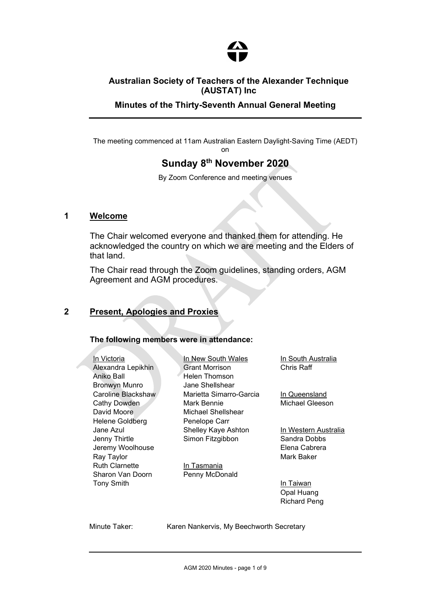

## Australian Society of Teachers of the Alexander Technique (AUSTAT) Inc

Minutes of the Thirty-Seventh Annual General Meeting

The meeting commenced at 11am Australian Eastern Daylight-Saving Time (AEDT) on

# Sunday 8th November 2020

By Zoom Conference and meeting venues

### 1 Welcome

The Chair welcomed everyone and thanked them for attending. He acknowledged the country on which we are meeting and the Elders of that land.

The Chair read through the Zoom guidelines, standing orders, AGM Agreement and AGM procedures.

### 2 Present, Apologies and Proxies

### The following members were in attendance:

In Victoria Alexandra Lepikhin Aniko Ball Bronwyn Munro Caroline Blackshaw Cathy Dowden David Moore Helene Goldberg Jane Azul Jenny Thirtle Jeremy Woolhouse Ray Taylor Ruth Clarnette Sharon Van Doorn Tony Smith

In New South Wales Grant Morrison Helen Thomson Jane Shellshear Marietta Simarro-Garcia Mark Bennie Michael Shellshear Penelope Carr Shelley Kaye Ashton Simon Fitzgibbon

In Tasmania Penny McDonald In South Australia Chris Raff

In Queensland Michael Gleeson

In Western Australia Sandra Dobbs Elena Cabrera Mark Baker

In Taiwan Opal Huang Richard Peng

Minute Taker: Karen Nankervis, My Beechworth Secretary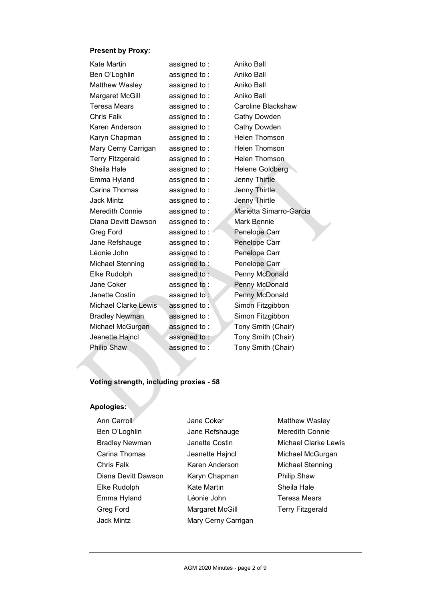#### Present by Proxy:

| Kate Martin             | assigned to: | Aniko Ball              |
|-------------------------|--------------|-------------------------|
| Ben O'Loghlin           | assigned to: | Aniko Ball              |
| Matthew Wasley          | assigned to: | Aniko Ball              |
| Margaret McGill         | assigned to: | Aniko Ball              |
| <b>Teresa Mears</b>     | assigned to: | Caroline Blackshaw      |
| Chris Falk              | assigned to: | Cathy Dowden            |
| Karen Anderson          | assigned to: | Cathy Dowden            |
| Karyn Chapman           | assigned to: | Helen Thomson           |
| Mary Cerny Carrigan     | assigned to: | <b>Helen Thomson</b>    |
| <b>Terry Fitzgerald</b> | assigned to: | Helen Thomson           |
| Sheila Hale             | assigned to: | Helene Goldberg         |
| Emma Hyland             | assigned to: | <b>Jenny Thirtle</b>    |
| Carina Thomas           | assigned to: | Jenny Thirtle           |
| Jack Mintz              | assigned to: | Jenny Thirtle           |
| Meredith Connie         | assigned to: | Marietta Simarro-Garcia |
| Diana Devitt Dawson     | assigned to: | Mark Bennie             |
| Greg Ford               | assigned to: | Penelope Carr           |
| Jane Refshauge          | assigned to: | Penelope Carr           |
| Léonie John             | assigned to: | Penelope Carr           |
| Michael Stenning        | assigned to: | Penelope Carr           |
| Elke Rudolph            | assigned to: | Penny McDonald          |
| Jane Coker              | assigned to: | Penny McDonald          |
| Janette Costin          | assigned to: | Penny McDonald          |
| Michael Clarke Lewis    | assigned to: | Simon Fitzgibbon        |
| <b>Bradley Newman</b>   | assigned to: | Simon Fitzgibbon        |
| Michael McGurgan        | assigned to: | Tony Smith (Chair)      |
| Jeanette Hajncl         | assigned to: | Tony Smith (Chair)      |
| <b>Philip Shaw</b>      | assigned to: | Tony Smith (Chair)      |

#### Voting strength, including proxies - 58

#### Apologies:

- Ann Carroll Ben O'Loghlin Bradley Newman Carina Thomas Chris Falk Diana Devitt Dawson Elke Rudolph Emma Hyland Greg Ford Jack Mintz
- Jane Coker Jane Refshauge Janette Costin Jeanette Hajncl Karen Anderson Karyn Chapman Kate Martin Léonie John Margaret McGill Mary Cerny Carrigan
- Matthew Wasley Meredith Connie Michael Clarke Lewis Michael McGurgan Michael Stenning Philip Shaw Sheila Hale Teresa Mears Terry Fitzgerald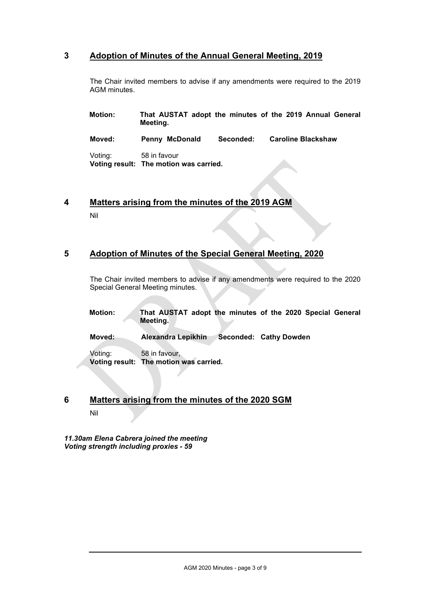### 3 Adoption of Minutes of the Annual General Meeting, 2019

The Chair invited members to advise if any amendments were required to the 2019 AGM minutes.

| Motion: | Meeting.                                               |           | That AUSTAT adopt the minutes of the 2019 Annual General |  |
|---------|--------------------------------------------------------|-----------|----------------------------------------------------------|--|
| Moved:  | Penny McDonald                                         | Seconded: | <b>Caroline Blackshaw</b>                                |  |
| Voting: | 58 in favour<br>Voting result: The motion was carried. |           |                                                          |  |

4 Matters arising from the minutes of the 2019 AGM Nil

### 5 Adoption of Minutes of the Special General Meeting, 2020

The Chair invited members to advise if any amendments were required to the 2020 Special General Meeting minutes.

| <b>Motion:</b> | That AUSTAT adopt the minutes of the 2020 Special General |  |  |  |  |
|----------------|-----------------------------------------------------------|--|--|--|--|
|                | Meeting.                                                  |  |  |  |  |

Moved: Alexandra Lepikhin Seconded: Cathy Dowden

Voting: 58 in favour, Voting result: The motion was carried.

## 6 Matters arising from the minutes of the 2020 SGM Nil

11.30am Elena Cabrera joined the meeting Voting strength including proxies - 59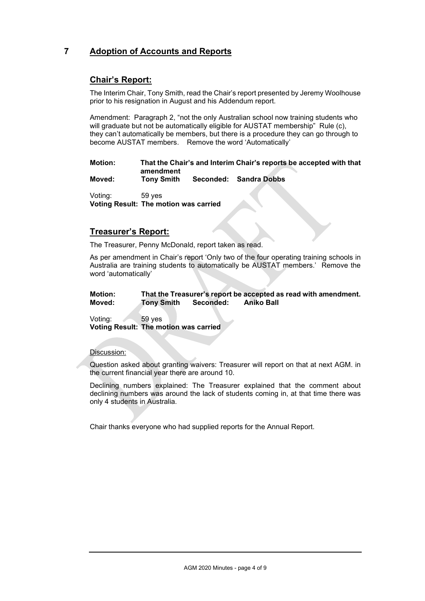## 7 Adoption of Accounts and Reports

### Chair's Report:

The Interim Chair, Tony Smith, read the Chair's report presented by Jeremy Woolhouse prior to his resignation in August and his Addendum report.

Amendment: Paragraph 2, "not the only Australian school now training students who will graduate but not be automatically eligible for AUSTAT membership" Rule (c), they can't automatically be members, but there is a procedure they can go through to become AUSTAT members. Remove the word 'Automatically'

Motion: That the Chair's and Interim Chair's reports be accepted with that amendment

Moved: Tony Smith Seconded: Sandra Dobbs

Voting: 59 yes Voting Result: The motion was carried

### Treasurer's Report:

The Treasurer, Penny McDonald, report taken as read.

As per amendment in Chair's report 'Only two of the four operating training schools in Australia are training students to automatically be AUSTAT members.' Remove the word 'automatically'

#### Motion: That the Treasurer's report be accepted as read with amendment. Moved: Tony Smith Seconded: Aniko Ball

Voting: 59 yes Voting Result: The motion was carried

#### Discussion:

Question asked about granting waivers: Treasurer will report on that at next AGM. in the current financial year there are around 10.

Declining numbers explained: The Treasurer explained that the comment about declining numbers was around the lack of students coming in, at that time there was only 4 students in Australia.

Chair thanks everyone who had supplied reports for the Annual Report.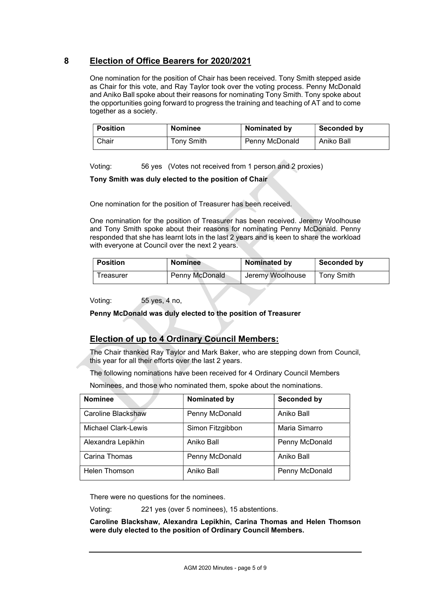### 8 Election of Office Bearers for 2020/2021

One nomination for the position of Chair has been received. Tony Smith stepped aside as Chair for this vote, and Ray Taylor took over the voting process. Penny McDonald and Aniko Ball spoke about their reasons for nominating Tony Smith. Tony spoke about the opportunities going forward to progress the training and teaching of AT and to come together as a society.

| <b>Position</b> | <b>Nominee</b> | Nominated by   | Seconded by |
|-----------------|----------------|----------------|-------------|
| Chair           | Tony Smith     | Penny McDonald | Aniko Ball  |

Voting: 56 yes (Votes not received from 1 person and 2 proxies)

#### Tony Smith was duly elected to the position of Chair

One nomination for the position of Treasurer has been received.

One nomination for the position of Treasurer has been received. Jeremy Woolhouse and Tony Smith spoke about their reasons for nominating Penny McDonald. Penny responded that she has learnt lots in the last 2 years and is keen to share the workload with everyone at Council over the next 2 years.

| <b>Position</b> | <b>Nominee</b> | Nominated by     | Seconded by |
|-----------------|----------------|------------------|-------------|
| Freasurer       | Penny McDonald | Jeremy Woolhouse | Tony Smith  |

Voting: 55 yes, 4 no,

#### Penny McDonald was duly elected to the position of Treasurer

### Election of up to 4 Ordinary Council Members:

The Chair thanked Ray Taylor and Mark Baker, who are stepping down from Council, this year for all their efforts over the last 2 years.

The following nominations have been received for 4 Ordinary Council Members

Nominees, and those who nominated them, spoke about the nominations.

| <b>Nominee</b>             | Nominated by     | <b>Seconded by</b> |
|----------------------------|------------------|--------------------|
| Caroline Blackshaw         | Penny McDonald   | Aniko Ball         |
| <b>Michael Clark-Lewis</b> | Simon Fitzgibbon | Maria Simarro      |
| Alexandra Lepikhin         | Aniko Ball       | Penny McDonald     |
| Carina Thomas              | Penny McDonald   | Aniko Ball         |
| Helen Thomson              | Aniko Ball       | Penny McDonald     |

There were no questions for the nominees.

Voting: 221 yes (over 5 nominees), 15 abstentions.

Caroline Blackshaw, Alexandra Lepikhin, Carina Thomas and Helen Thomson were duly elected to the position of Ordinary Council Members.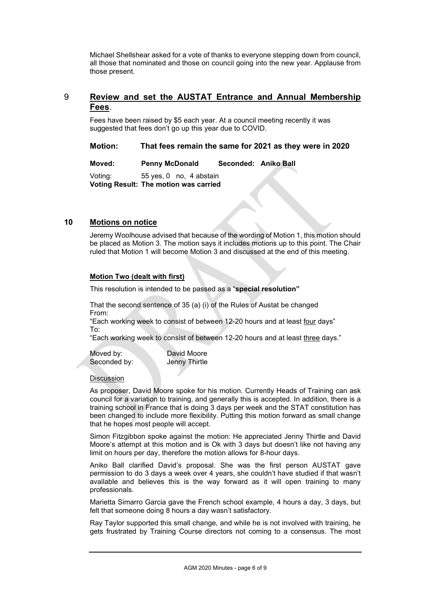Michael Shellshear asked for a vote of thanks to everyone stepping down from council, all those that nominated and those on council going into the new year. Applause from those present.

### 9 Review and set the AUSTAT Entrance and Annual Membership Fees.

Fees have been raised by \$5 each year. At a council meeting recently it was suggested that fees don't go up this year due to COVID.

Motion: That fees remain the same for 2021 as they were in 2020

Moved: Penny McDonald Seconded: Aniko Ball

Voting: 55 yes, 0 no, 4 abstain Voting Result: The motion was carried

#### 10 Motions on notice

Jeremy Woolhouse advised that because of the wording of Motion 1, this motion should be placed as Motion 3. The motion says it includes motions up to this point. The Chair ruled that Motion 1 will become Motion 3 and discussed at the end of this meeting.

#### Motion Two (dealt with first)

This resolution is intended to be passed as a "special resolution"

That the second sentence of 35 (a) (i) of the Rules of Austat be changed From:

"Each working week to consist of between 12-20 hours and at least four days" To:

"Each working week to consist of between 12-20 hours and at least three days."

Moved by: David Moore Seconded by: Jenny Thirtle

#### **Discussion**

As proposer, David Moore spoke for his motion. Currently Heads of Training can ask council for a variation to training, and generally this is accepted. In addition, there is a training school in France that is doing 3 days per week and the STAT constitution has been changed to include more flexibility. Putting this motion forward as small change that he hopes most people will accept.

Simon Fitzgibbon spoke against the motion: He appreciated Jenny Thirtle and David Moore's attempt at this motion and is Ok with 3 days but doesn't like not having any limit on hours per day, therefore the motion allows for 8-hour days.

Aniko Ball clarified David's proposal. She was the first person AUSTAT gave permission to do 3 days a week over 4 years, she couldn't have studied if that wasn't available and believes this is the way forward as it will open training to many professionals.

Marietta Simarro Garcia gave the French school example, 4 hours a day, 3 days, but felt that someone doing 8 hours a day wasn't satisfactory.

Ray Taylor supported this small change, and while he is not involved with training, he gets frustrated by Training Course directors not coming to a consensus. The most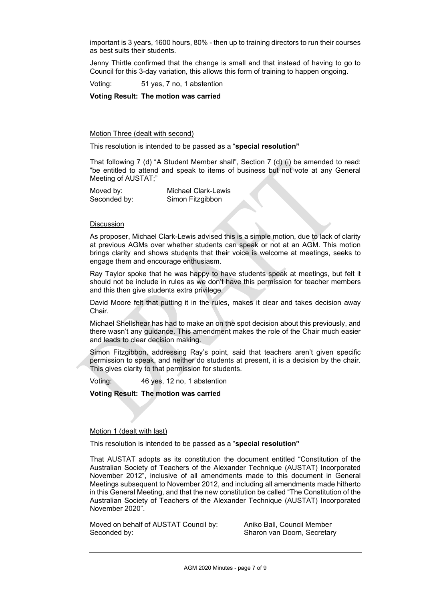important is 3 years, 1600 hours, 80% - then up to training directors to run their courses as best suits their students.

Jenny Thirtle confirmed that the change is small and that instead of having to go to Council for this 3-day variation, this allows this form of training to happen ongoing.

Voting: 51 yes, 7 no, 1 abstention

Voting Result: The motion was carried

Motion Three (dealt with second)

This resolution is intended to be passed as a "special resolution"

That following 7 (d) "A Student Member shall", Section 7 (d) (i) be amended to read: "be entitled to attend and speak to items of business but not vote at any General Meeting of AUSTAT;"

Moved by: Michael Clark-Lewis<br>Seconded by: Simon Fitzgibbon Simon Fitzgibbon

#### **Discussion**

As proposer, Michael Clark-Lewis advised this is a simple motion, due to lack of clarity at previous AGMs over whether students can speak or not at an AGM. This motion brings clarity and shows students that their voice is welcome at meetings, seeks to engage them and encourage enthusiasm.

Ray Taylor spoke that he was happy to have students speak at meetings, but felt it should not be include in rules as we don't have this permission for teacher members and this then give students extra privilege.

David Moore felt that putting it in the rules, makes it clear and takes decision away Chair.

Michael Shellshear has had to make an on the spot decision about this previously, and there wasn't any guidance. This amendment makes the role of the Chair much easier and leads to clear decision making.

Simon Fitzgibbon, addressing Ray's point, said that teachers aren't given specific permission to speak, and neither do students at present, it is a decision by the chair. This gives clarity to that permission for students.

Voting: 46 yes, 12 no, 1 abstention

Voting Result: The motion was carried

#### Motion 1 (dealt with last)

This resolution is intended to be passed as a "special resolution"

That AUSTAT adopts as its constitution the document entitled "Constitution of the Australian Society of Teachers of the Alexander Technique (AUSTAT) Incorporated November 2012", inclusive of all amendments made to this document in General Meetings subsequent to November 2012, and including all amendments made hitherto in this General Meeting, and that the new constitution be called "The Constitution of the Australian Society of Teachers of the Alexander Technique (AUSTAT) Incorporated November 2020".

Moved on behalf of AUSTAT Council by: Aniko Ball, Council Member Seconded by: Sharon van Doorn, Secretary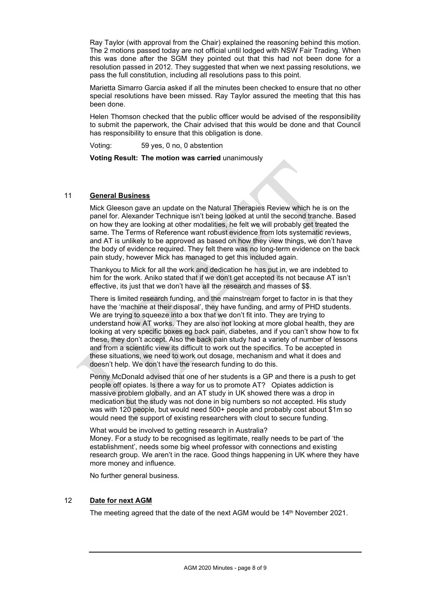Ray Taylor (with approval from the Chair) explained the reasoning behind this motion. The 2 motions passed today are not official until lodged with NSW Fair Trading. When this was done after the SGM they pointed out that this had not been done for a resolution passed in 2012. They suggested that when we next passing resolutions, we pass the full constitution, including all resolutions pass to this point.

Marietta Simarro Garcia asked if all the minutes been checked to ensure that no other special resolutions have been missed. Ray Taylor assured the meeting that this has been done.

Helen Thomson checked that the public officer would be advised of the responsibility to submit the paperwork, the Chair advised that this would be done and that Council has responsibility to ensure that this obligation is done.

Voting: 59 yes, 0 no, 0 abstention

Voting Result: The motion was carried unanimously

#### 11 General Business

Mick Gleeson gave an update on the Natural Therapies Review which he is on the panel for. Alexander Technique isn't being looked at until the second tranche. Based on how they are looking at other modalities, he felt we will probably get treated the same. The Terms of Reference want robust evidence from lots systematic reviews, and AT is unlikely to be approved as based on how they view things, we don't have the body of evidence required. They felt there was no long-term evidence on the back pain study, however Mick has managed to get this included again.

Thankyou to Mick for all the work and dedication he has put in, we are indebted to him for the work. Aniko stated that if we don't get accepted its not because AT isn't effective, its just that we don't have all the research and masses of \$\$.

There is limited research funding, and the mainstream forget to factor in is that they have the 'machine at their disposal', they have funding, and army of PHD students. We are trying to squeeze into a box that we don't fit into. They are trying to understand how AT works. They are also not looking at more global health, they are looking at very specific boxes eg back pain, diabetes, and if you can't show how to fix these, they don't accept. Also the back pain study had a variety of number of lessons and from a scientific view its difficult to work out the specifics. To be accepted in these situations, we need to work out dosage, mechanism and what it does and doesn't help. We don't have the research funding to do this.

Penny McDonald advised that one of her students is a GP and there is a push to get people off opiates. Is there a way for us to promote AT? Opiates addiction is massive problem globally, and an AT study in UK showed there was a drop in medication but the study was not done in big numbers so not accepted. His study was with 120 people, but would need 500+ people and probably cost about \$1m so would need the support of existing researchers with clout to secure funding.

What would be involved to getting research in Australia? Money. For a study to be recognised as legitimate, really needs to be part of 'the establishment', needs some big wheel professor with connections and existing research group. We aren't in the race. Good things happening in UK where they have more money and influence.

No further general business.

#### 12 Date for next AGM

The meeting agreed that the date of the next AGM would be 14<sup>th</sup> November 2021.